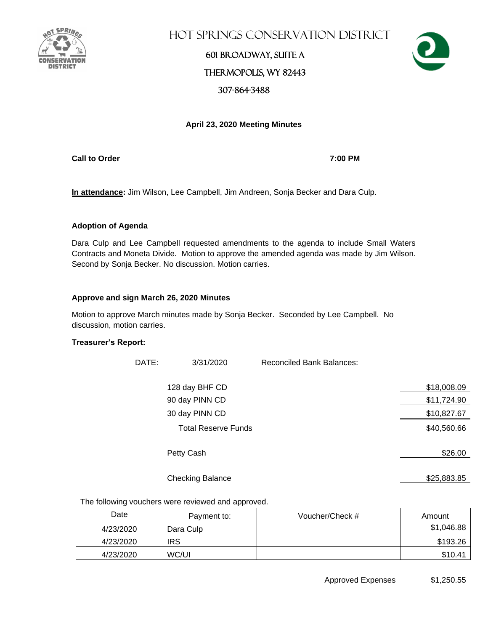

Hot Springs Conservation District

### 601 Broadway, Suite A Thermopolis, WY 82443 307-864-3488



#### **April 23, 2020 Meeting Minutes**

**Call to Order 7:00 PM**

**In attendance:** Jim Wilson, Lee Campbell, Jim Andreen, Sonja Becker and Dara Culp.

#### **Adoption of Agenda**

Dara Culp and Lee Campbell requested amendments to the agenda to include Small Waters Contracts and Moneta Divide. Motion to approve the amended agenda was made by Jim Wilson. Second by Sonja Becker. No discussion. Motion carries.

#### **Approve and sign March 26, 2020 Minutes**

Motion to approve March minutes made by Sonja Becker. Seconded by Lee Campbell. No discussion, motion carries.

#### **Treasurer's Report:**

| DATE: | 3/31/2020                  | <b>Reconciled Bank Balances:</b> |             |
|-------|----------------------------|----------------------------------|-------------|
|       | 128 day BHF CD             |                                  | \$18,008.09 |
|       | 90 day PINN CD             |                                  | \$11,724.90 |
|       | 30 day PINN CD             |                                  | \$10,827.67 |
|       | <b>Total Reserve Funds</b> |                                  | \$40,560.66 |
|       | Petty Cash                 |                                  | \$26.00     |
|       | <b>Checking Balance</b>    |                                  | \$25,883.85 |

The following vouchers were reviewed and approved.

| Date      | Payment to: | Voucher/Check # | Amount     |
|-----------|-------------|-----------------|------------|
| 4/23/2020 | Dara Culp   |                 | \$1,046.88 |
| 4/23/2020 | <b>IRS</b>  |                 | \$193.26   |
| 4/23/2020 | WC/UI       |                 | \$10.41    |

Approved Expenses \$1,250.55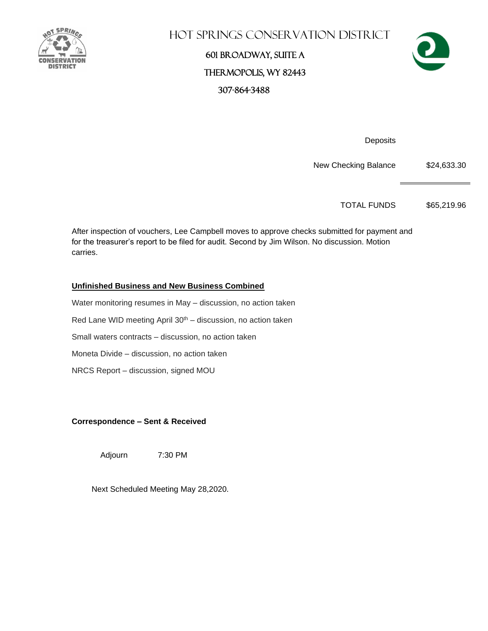

## Hot Springs Conservation District

## 601 Broadway, Suite A Thermopolis, WY 82443 307-864-3488



**Deposits** 

New Checking Balance \$24,633.30

TOTAL FUNDS \$65,219.96

After inspection of vouchers, Lee Campbell moves to approve checks submitted for payment and for the treasurer's report to be filed for audit. Second by Jim Wilson. No discussion. Motion carries.

### **Unfinished Business and New Business Combined**

Water monitoring resumes in May – discussion, no action taken Red Lane WID meeting April  $30<sup>th</sup>$  – discussion, no action taken Small waters contracts – discussion, no action taken Moneta Divide – discussion, no action taken NRCS Report – discussion, signed MOU

**Correspondence – Sent & Received** 

Adjourn 7:30 PM

Next Scheduled Meeting May 28,2020.